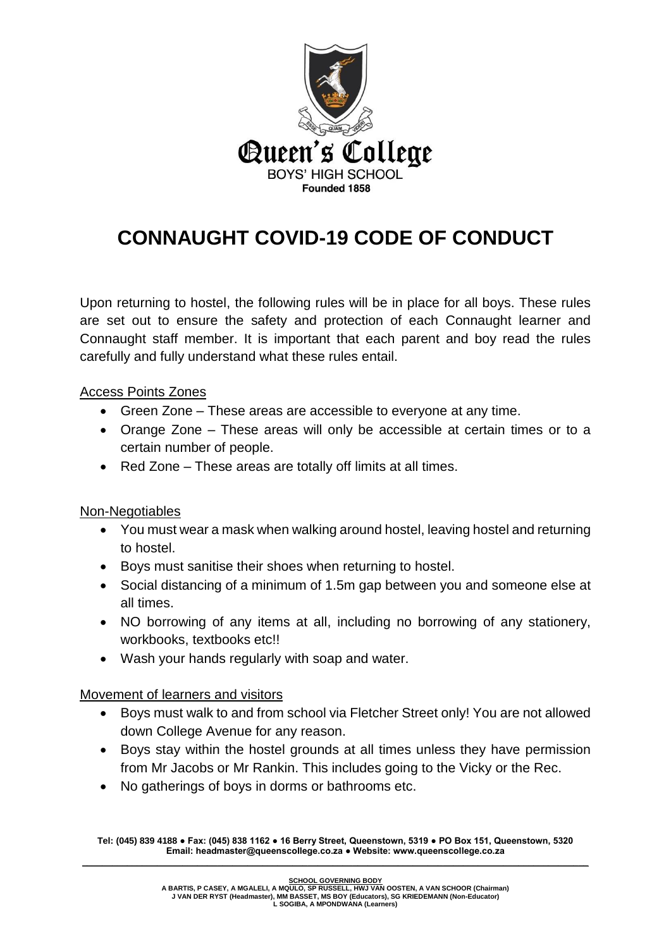

## **CONNAUGHT COVID-19 CODE OF CONDUCT**

Upon returning to hostel, the following rules will be in place for all boys. These rules are set out to ensure the safety and protection of each Connaught learner and Connaught staff member. It is important that each parent and boy read the rules carefully and fully understand what these rules entail.

Access Points Zones

- Green Zone These areas are accessible to everyone at any time.
- Orange Zone These areas will only be accessible at certain times or to a certain number of people.
- Red Zone These areas are totally off limits at all times.

Non-Negotiables

- You must wear a mask when walking around hostel, leaving hostel and returning to hostel.
- Boys must sanitise their shoes when returning to hostel.
- Social distancing of a minimum of 1.5m gap between you and someone else at all times.
- NO borrowing of any items at all, including no borrowing of any stationery, workbooks, textbooks etc!!
- Wash your hands regularly with soap and water.

Movement of learners and visitors

- Boys must walk to and from school via Fletcher Street only! You are not allowed down College Avenue for any reason.
- Boys stay within the hostel grounds at all times unless they have permission from Mr Jacobs or Mr Rankin. This includes going to the Vicky or the Rec.
- No gatherings of boys in dorms or bathrooms etc.

**Tel: (045) 839 4188 ● Fax: (045) 838 1162 ● 16 Berry Street, Queenstown, 5319 ● PO Box 151, Queenstown, 5320 Email: headmaster@queenscollege.co.za ● Website: www.queenscollege.co.za \_\_\_\_\_\_\_\_\_\_\_\_\_\_\_\_\_\_\_\_\_\_\_\_\_\_\_\_\_\_\_\_\_\_\_\_\_\_\_\_\_\_\_\_\_\_\_\_\_\_\_\_\_\_\_\_\_\_\_\_\_\_\_\_\_\_\_\_\_\_\_\_\_\_\_\_\_\_\_\_\_\_\_\_\_\_\_\_\_\_\_\_\_\_\_\_\_\_\_\_\_**